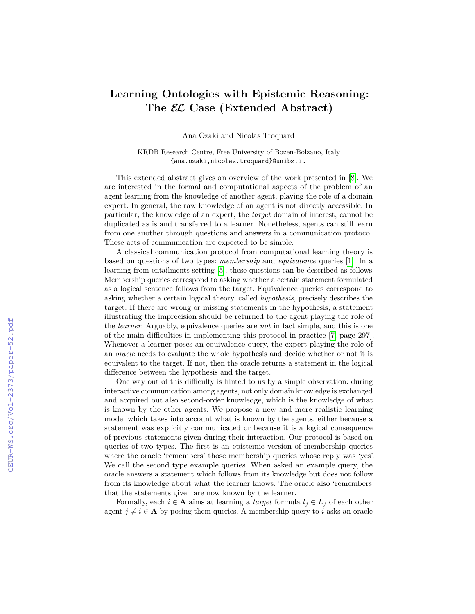## **Learning Ontologies with Epistemic Reasoning: The EL Case (Extended Abstract)**

Ana Ozaki and Nicolas Troquard

KRDB Research Centre, Free University of Bozen-Bolzano, Italy {ana.ozaki,nicolas.troquard}@unibz.it

This extended abstract gives an overview of the work presented in [\[8\]](#page--1-0). We are interested in the formal and computational aspects of the problem of an agent learning from the knowledge of another agent, playing the role of a domain expert. In general, the raw knowledge of an agent is not directly accessible. In particular, the knowledge of an expert, the *target* domain of interest, cannot be duplicated as is and transferred to a learner. Nonetheless, agents can still learn from one another through questions and answers in a communication protocol. These acts of communication are expected to be simple.

A classical communication protocol from computational learning theory is based on questions of two types: *membership* and *equivalence* queries [\[1\]](#page--1-1). In a learning from entailments setting [\[5\]](#page--1-2), these questions can be described as follows. Membership queries correspond to asking whether a certain statement formulated as a logical sentence follows from the target. Equivalence queries correspond to asking whether a certain logical theory, called *hypothesis*, precisely describes the target. If there are wrong or missing statements in the hypothesis, a statement illustrating the imprecision should be returned to the agent playing the role of the *learner*. Arguably, equivalence queries are *not* in fact simple, and this is one of the main difficulties in implementing this protocol in practice [\[7,](#page--1-3) page 297]. Whenever a learner poses an equivalence query, the expert playing the role of an *oracle* needs to evaluate the whole hypothesis and decide whether or not it is equivalent to the target. If not, then the oracle returns a statement in the logical difference between the hypothesis and the target.

One way out of this difficulty is hinted to us by a simple observation: during interactive communication among agents, not only domain knowledge is exchanged and acquired but also second-order knowledge, which is the knowledge of what is known by the other agents. We propose a new and more realistic learning model which takes into account what is known by the agents, either because a statement was explicitly communicated or because it is a logical consequence of previous statements given during their interaction. Our protocol is based on queries of two types. The first is an epistemic version of membership queries where the oracle 'remembers' those membership queries whose reply was 'yes'. We call the second type example queries. When asked an example query, the oracle answers a statement which follows from its knowledge but does not follow from its knowledge about what the learner knows. The oracle also 'remembers' that the statements given are now known by the learner.

Formally, each  $i \in \mathbf{A}$  aims at learning a *target* formula  $l_j \in L_j$  of each other agent  $j \neq i \in A$  by posing them queries. A membership query to *i* asks an oracle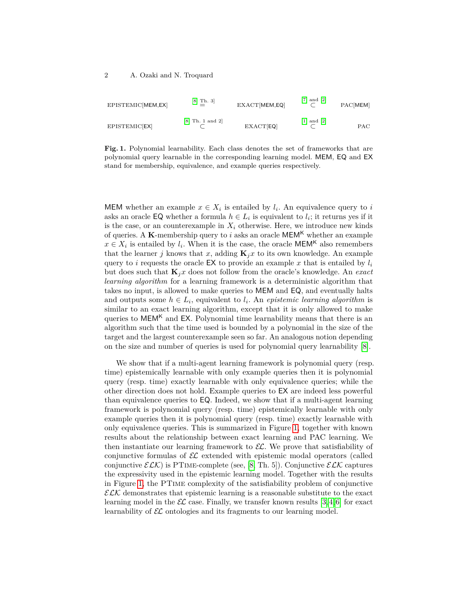| EPISTEMIC[MEM,EX] | [8, Th. 3]<br>$\equiv$ | EXACT[MEM,EQ] | $[7]$ and $[2]$                         | PAC[MEM] |
|-------------------|------------------------|---------------|-----------------------------------------|----------|
| EPISTEMIC[EX]     | [8, Th. 1 and 2]       | EXACT[EQ]     | $\lceil 1 \rceil$ and $\lceil 2 \rceil$ | PAC      |

<span id="page-1-0"></span>**Fig. 1.** Polynomial learnability. Each class denotes the set of frameworks that are polynomial query learnable in the corresponding learning model. MEM, EQ and EX stand for membership, equivalence, and example queries respectively.

MEM whether an example  $x \in X_i$  is entailed by  $l_i$ . An equivalence query to *i* asks an oracle  $\textsf{EQ}$  whether a formula  $h \in L_i$  is equivalent to  $l_i$ ; it returns yes if it is the case, or an counterexample in  $X_i$  otherwise. Here, we introduce new kinds of queries. A **K**-membership query to  $i$  asks an oracle  $\mathsf{MEM}^\mathsf{K}$  whether an example  $x \in X_i$  is entailed by  $l_i$ . When it is the case, the oracle  $\mathsf{MEM}^{\mathsf{K}}$  also remembers that the learner *j* knows that *x*, adding  $\mathbf{K}_i x$  to its own knowledge. An example query to *i* requests the oracle EX to provide an example x that is entailed by  $l_i$ but does such that **K***jx* does not follow from the oracle's knowledge. An *exact learning algorithm* for a learning framework is a deterministic algorithm that takes no input, is allowed to make queries to MEM and EQ, and eventually halts and outputs some  $h \in L_i$ , equivalent to  $l_i$ . An *epistemic learning algorithm* is similar to an exact learning algorithm, except that it is only allowed to make queries to  $MEM<sup>K</sup>$  and EX. Polynomial time learnability means that there is an algorithm such that the time used is bounded by a polynomial in the size of the target and the largest counterexample seen so far. An analogous notion depending on the size and number of queries is used for polynomial query learnability [\[8\]](#page-2-0).

We show that if a multi-agent learning framework is polynomial query (resp. time) epistemically learnable with only example queries then it is polynomial query (resp. time) exactly learnable with only equivalence queries; while the other direction does not hold. Example queries to EX are indeed less powerful than equivalence queries to EQ. Indeed, we show that if a multi-agent learning framework is polynomial query (resp. time) epistemically learnable with only example queries then it is polynomial query (resp. time) exactly learnable with only equivalence queries. This is summarized in Figure [1,](#page-1-0) together with known results about the relationship between exact learning and PAC learning. We then instantiate our learning framework to  $\mathcal{EL}$ . We prove that satisfiability of conjunctive formulas of  $\mathcal{EL}$  extended with epistemic modal operators (called conjunctive  $\mathcal{ELK}$ ) is PTIME-complete (see, [\[8,](#page-2-0) Th. 5]). Conjunctive  $\mathcal{ELK}$  captures the expressivity used in the epistemic learning model. Together with the results in Figure [1,](#page-1-0) the PTime complexity of the satisfiability problem of conjunctive  $\mathcal{ELK}$  demonstrates that epistemic learning is a reasonable substitute to the exact learning model in the  $\mathcal{EL}$  case. Finally, we transfer known results [\[3,](#page-2-4)4,6] for exact learnability of  $\mathcal{EL}$  ontologies and its fragments to our learning model.